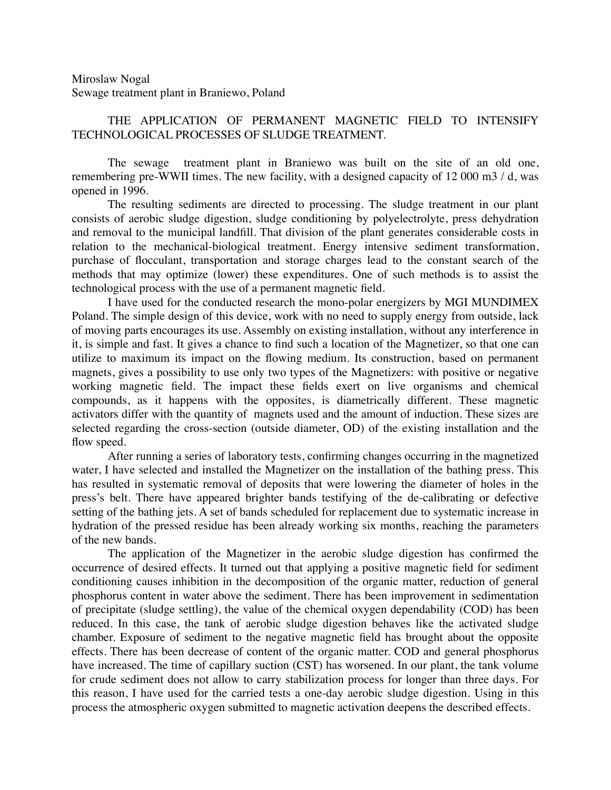## Miroslaw Nogal Sewage treatment plant in Braniewo, Poland

## THE APPLICATION OF PERMANENT MAGNETIC FIELD TO INTENSIFY TECHNOLOGICAL PROCESSES OF SLUDGE TREATMENT.

The sewage treatment plant in Braniewo was built on the site of an old one, remembering pre-WWII times. The new facility, with a designed capacity of 12 000 m3 / d, was opened in 1996.

The resulting sediments are directed to processing. The sludge treatment in our plant consists of aerobic sludge digestion, sludge conditioning by polyelectrolyte, press dehydration and removal to the municipal landfill. That division of the plant generates considerable costs in relation to the mechanical-biological treatment. Energy intensive sediment transformation, purchase of flocculant, transportation and storage charges lead to the constant search of the methods that may optimize (lower) these expenditures. One of such methods is to assist the technological process with the use of a permanent magnetic field.

I have used for the conducted research the mono-polar energizers by MGI MUNDIMEX Poland. The simple design of this device, work with no need to supply energy from outside, lack of moving parts encourages its use. Assembly on existing installation, without any interference in it, is simple and fast. It gives a chance to find such a location of the Magnetizer, so that one can utilize to maximum its impact on the flowing medium. Its construction, based on permanent magnets, gives a possibility to use only two types of the Magnetizers: with positive or negative working magnetic field. The impact these fields exert on live organisms and chemical compounds, as it happens with the opposites, is diametrically different. These magnetic activators differ with the quantity of magnets used and the amount of induction. These sizes are selected regarding the cross-section (outside diameter, OD) of the existing installation and the flow speed.

After running a series of laboratory tests, confirming changes occurring in the magnetized water, I have selected and installed the Magnetizer on the installation of the bathing press. This has resulted in systematic removal of deposits that were lowering the diameter of holes in the press's belt. There have appeared brighter bands testifying of the de-calibrating or defective setting of the bathing jets. A set of bands scheduled for replacement due to systematic increase in hydration of the pressed residue has been already working six months, reaching the parameters of the new bands.

The application of the Magnetizer in the aerobic sludge digestion has confirmed the occurrence of desired effects. It turned out that applying a positive magnetic field for sediment conditioning causes inhibition in the decomposition of the organic matter, reduction of general phosphorus content in water above the sediment. There has been improvement in sedimentation of precipitate (sludge settling), the value of the chemical oxygen dependability (COD) has been reduced. In this case, the tank of aerobic sludge digestion behaves like the activated sludge chamber. Exposure of sediment to the negative magnetic field has brought about the opposite effects. There has been decrease of content of the organic matter. COD and general phosphorus have increased. The time of capillary suction (CST) has worsened. In our plant, the tank volume for crude sediment does not allow to carry stabilization process for longer than three days. For this reason, I have used for the carried tests a one-day aerobic sludge digestion. Using in this process the atmospheric oxygen submitted to magnetic activation deepens the described effects.